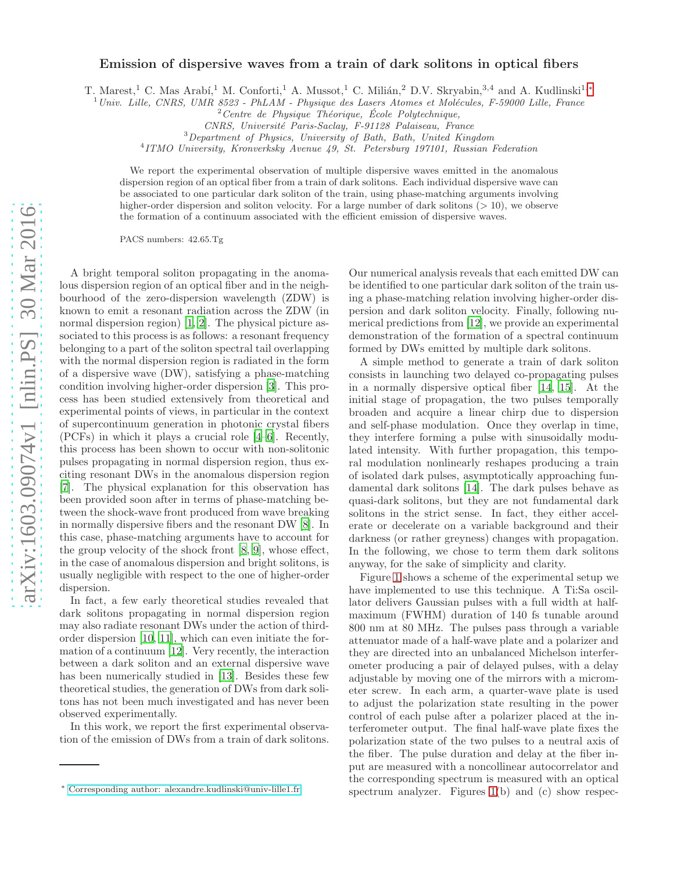## Emission of dispersive waves from a train of dark solitons in optical fibers

T. Marest,<sup>1</sup> C. Mas Arabí,<sup>1</sup> M. Conforti,<sup>1</sup> A. Mussot,<sup>1</sup> C. Milián,<sup>2</sup> D.V. Skryabin,<sup>3,4</sup> and A. Kudlinski<sup>1,[∗](#page-0-0)</sup>

 $1$ Univ. Lille, CNRS, UMR 8523 - PhLAM - Physique des Lasers Atomes et Molécules, F-59000 Lille, France

CNRS, Universit´e Paris-Saclay, F-91128 Palaiseau, France

<sup>3</sup>Department of Physics, University of Bath, Bath, United Kingdom

4 ITMO University, Kronverksky Avenue 49, St. Petersburg 197101, Russian Federation

We report the experimental observation of multiple dispersive waves emitted in the anomalous dispersion region of an optical fiber from a train of dark solitons. Each individual dispersive wave can be associated to one particular dark soliton of the train, using phase-matching arguments involving higher-order dispersion and soliton velocity. For a large number of dark solitons  $(>10)$ , we observe the formation of a continuum associated with the efficient emission of dispersive waves.

PACS numbers: 42.65.Tg

A bright temporal soliton propagating in the anomalous dispersion region of an optical fiber and in the neighbourhood of the zero-dispersion wavelength (ZDW) is known to emit a resonant radiation across the ZDW (in normal dispersion region) [\[1](#page-3-0), [2\]](#page-3-1). The physical picture associated to this process is as follows: a resonant frequency belonging to a part of the soliton spectral tail overlapping with the normal dispersion region is radiated in the form of a dispersive wave (DW), satisfying a phase-matching condition involving higher-order dispersion [\[3](#page-3-2)]. This process has been studied extensively from theoretical and experimental points of views, in particular in the context of supercontinuum generation in photonic crystal fibers (PCFs) in which it plays a crucial role [\[4](#page-3-3)[–6\]](#page-3-4). Recently, this process has been shown to occur with non-solitonic pulses propagating in normal dispersion region, thus exciting resonant DWs in the anomalous dispersion region [\[7\]](#page-3-5). The physical explanation for this observation has been provided soon after in terms of phase-matching between the shock-wave front produced from wave breaking in normally dispersive fibers and the resonant DW [\[8](#page-3-6)]. In this case, phase-matching arguments have to account for the group velocity of the shock front [\[8](#page-3-6), [9](#page-4-0)], whose effect, in the case of anomalous dispersion and bright solitons, is usually negligible with respect to the one of higher-order dispersion.

In fact, a few early theoretical studies revealed that dark solitons propagating in normal dispersion region may also radiate resonant DWs under the action of thirdorder dispersion [\[10](#page-4-1), [11](#page-4-2)], which can even initiate the formation of a continuum [\[12](#page-4-3)]. Very recently, the interaction between a dark soliton and an external dispersive wave has been numerically studied in [\[13\]](#page-4-4). Besides these few theoretical studies, the generation of DWs from dark solitons has not been much investigated and has never been observed experimentally.

In this work, we report the first experimental observation of the emission of DWs from a train of dark solitons.

Our numerical analysis reveals that each emitted DW can be identified to one particular dark soliton of the train using a phase-matching relation involving higher-order dispersion and dark soliton velocity. Finally, following numerical predictions from [\[12\]](#page-4-3), we provide an experimental demonstration of the formation of a spectral continuum formed by DWs emitted by multiple dark solitons.

A simple method to generate a train of dark soliton consists in launching two delayed co-propagating pulses in a normally dispersive optical fiber [\[14](#page-4-5), [15\]](#page-4-6). At the initial stage of propagation, the two pulses temporally broaden and acquire a linear chirp due to dispersion and self-phase modulation. Once they overlap in time, they interfere forming a pulse with sinusoidally modulated intensity. With further propagation, this temporal modulation nonlinearly reshapes producing a train of isolated dark pulses, asymptotically approaching fundamental dark solitons [\[14\]](#page-4-5). The dark pulses behave as quasi-dark solitons, but they are not fundamental dark solitons in the strict sense. In fact, they either accelerate or decelerate on a variable background and their darkness (or rather greyness) changes with propagation. In the following, we chose to term them dark solitons anyway, for the sake of simplicity and clarity.

Figure [1](#page-1-0) shows a scheme of the experimental setup we have implemented to use this technique. A Ti:Sa oscillator delivers Gaussian pulses with a full width at halfmaximum (FWHM) duration of 140 fs tunable around 800 nm at 80 MHz. The pulses pass through a variable attenuator made of a half-wave plate and a polarizer and they are directed into an unbalanced Michelson interferometer producing a pair of delayed pulses, with a delay adjustable by moving one of the mirrors with a micrometer screw. In each arm, a quarter-wave plate is used to adjust the polarization state resulting in the power control of each pulse after a polarizer placed at the interferometer output. The final half-wave plate fixes the polarization state of the two pulses to a neutral axis of the fiber. The pulse duration and delay at the fiber input are measured with a noncollinear autocorrelator and the corresponding spectrum is measured with an optical spectrum analyzer. Figures [1\(](#page-1-0)b) and (c) show respec-

 $2$ Centre de Physique Théorique, École Polytechnique,

<span id="page-0-0"></span><sup>∗</sup> [Corresponding author: alexandre.kudlinski@univ-lille1.fr](mailto:Corresponding author: alexandre.kudlinski@univ-lille1.fr)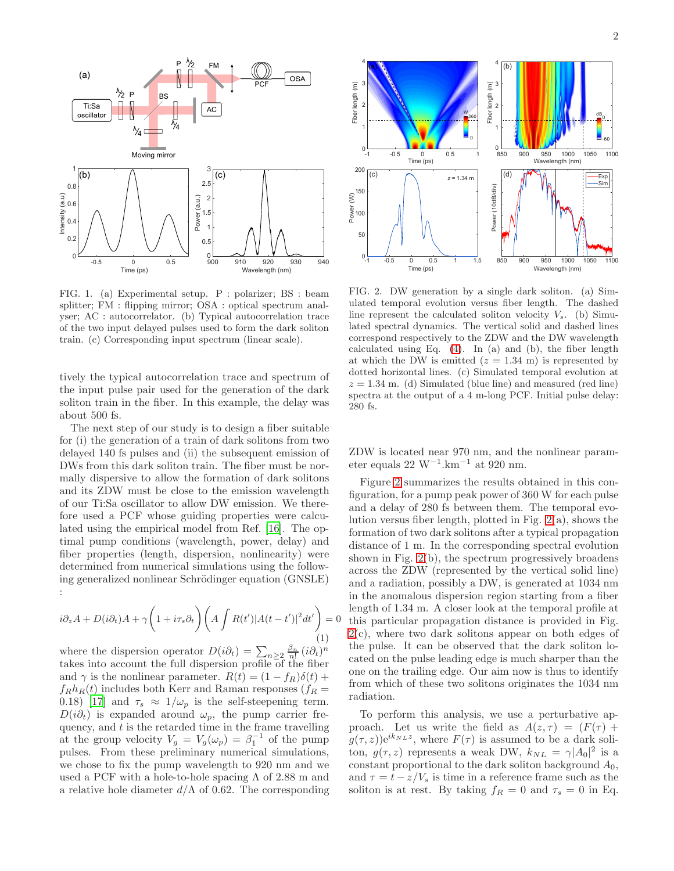

<span id="page-1-0"></span>FIG. 1. (a) Experimental setup. P : polarizer; BS : beam splitter; FM : flipping mirror; OSA : optical spectrum analyser; AC : autocorrelator. (b) Typical autocorrelation trace of the two input delayed pulses used to form the dark soliton train. (c) Corresponding input spectrum (linear scale).

tively the typical autocorrelation trace and spectrum of the input pulse pair used for the generation of the dark soliton train in the fiber. In this example, the delay was about 500 fs.

The next step of our study is to design a fiber suitable for (i) the generation of a train of dark solitons from two delayed 140 fs pulses and (ii) the subsequent emission of DWs from this dark soliton train. The fiber must be normally dispersive to allow the formation of dark solitons and its ZDW must be close to the emission wavelength of our Ti:Sa oscillator to allow DW emission. We therefore used a PCF whose guiding properties were calculated using the empirical model from Ref. [\[16\]](#page-4-7). The optimal pump conditions (wavelength, power, delay) and fiber properties (length, dispersion, nonlinearity) were determined from numerical simulations using the following generalized nonlinear Schrödinger equation (GNSLE) :

<span id="page-1-2"></span>
$$
i\partial_z A + D(i\partial_t)A + \gamma \left(1 + i\tau_s \partial_t\right) \left(A \int R(t') |A(t - t')|^2 dt'\right) = 0
$$
\n(1)

where the dispersion operator  $D(i\partial_t) = \sum_{n\geq 2} \frac{\beta_n}{n!} (i\partial_t)^n$ takes into account the full dispersion profile of the fiber and  $\gamma$  is the nonlinear parameter.  $R(t) = (1 - f_R)\delta(t) +$  $f_Rh_R(t)$  includes both Kerr and Raman responses  $(f_R =$ 0.18) [\[17\]](#page-4-8) and  $\tau_s \approx 1/\omega_p$  is the self-steepening term.  $D(i\partial_t)$  is expanded around  $\omega_p$ , the pump carrier frequency, and  $t$  is the retarded time in the frame travelling at the group velocity  $V_g = V_g(\omega_p) = \beta_1^{-1}$  of the pump pulses. From these preliminary numerical simulations, we chose to fix the pump wavelength to 920 nm and we used a PCF with a hole-to-hole spacing  $\Lambda$  of 2.88 m and a relative hole diameter  $d/\Lambda$  of 0.62. The corresponding



<span id="page-1-1"></span>FIG. 2. DW generation by a single dark soliton. (a) Simulated temporal evolution versus fiber length. The dashed line represent the calculated soliton velocity  $V_s$ . (b) Simulated spectral dynamics. The vertical solid and dashed lines correspond respectively to the ZDW and the DW wavelength calculated using Eq.  $(4)$ . In  $(a)$  and  $(b)$ , the fiber length at which the DW is emitted  $(z = 1.34 \text{ m})$  is represented by dotted horizontal lines. (c) Simulated temporal evolution at  $z = 1.34$  m. (d) Simulated (blue line) and measured (red line) spectra at the output of a 4 m-long PCF. Initial pulse delay: 280 fs.

ZDW is located near 970 nm, and the nonlinear parameter equals 22 W<sup>-1</sup>.km<sup>-1</sup> at 920 nm.

Figure [2](#page-1-1) summarizes the results obtained in this configuration, for a pump peak power of 360 W for each pulse and a delay of 280 fs between them. The temporal evolution versus fiber length, plotted in Fig. [2\(](#page-1-1)a), shows the formation of two dark solitons after a typical propagation distance of 1 m. In the corresponding spectral evolution shown in Fig. [2\(](#page-1-1)b), the spectrum progressively broadens across the ZDW (represented by the vertical solid line) and a radiation, possibly a DW, is generated at 1034 nm in the anomalous dispersion region starting from a fiber length of 1.34 m. A closer look at the temporal profile at this particular propagation distance is provided in Fig. [2\(](#page-1-1)c), where two dark solitons appear on both edges of the pulse. It can be observed that the dark soliton located on the pulse leading edge is much sharper than the one on the trailing edge. Our aim now is thus to identify from which of these two solitons originates the 1034 nm radiation.

To perform this analysis, we use a perturbative approach. Let us write the field as  $A(z, \tau) = (F(\tau)) +$  $g(\tau, z)$ )e<sup>ik<sub>NL</sub>z</sup>, where  $F(\tau)$  is assumed to be a dark soliton,  $g(\tau, z)$  represents a weak DW,  $k_{NL} = \gamma |A_0|^2$  is a constant proportional to the dark soliton background  $A_0$ , and  $\tau = t - z/V_s$  is time in a reference frame such as the soliton is at rest. By taking  $f_R = 0$  and  $\tau_s = 0$  in Eq.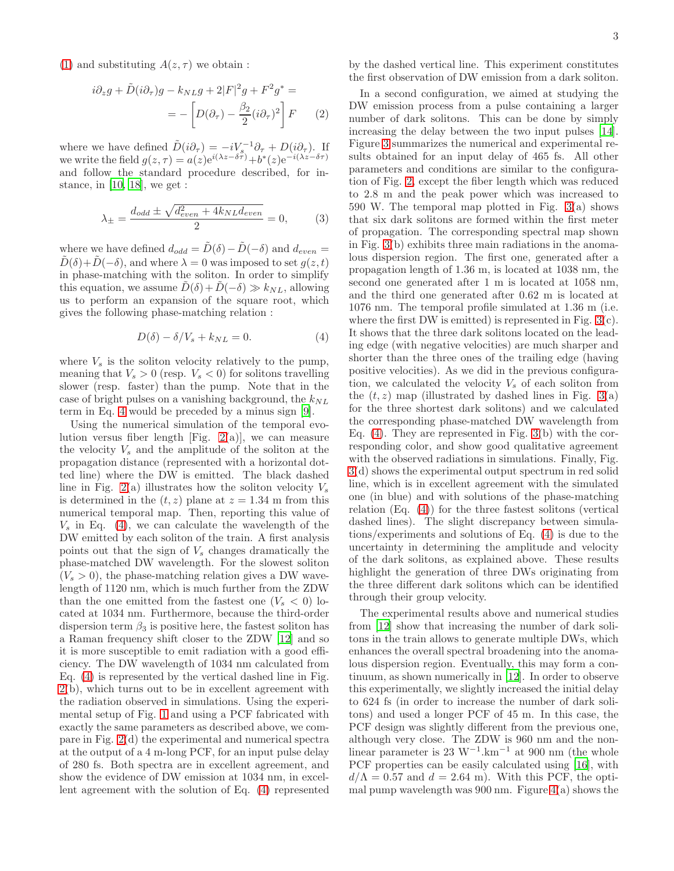[\(1\)](#page-1-2) and substituting  $A(z, \tau)$  we obtain :

$$
i\partial_z g + \tilde{D}(i\partial_\tau)g - k_{NL}g + 2|F|^2 g + F^2 g^* =
$$
  
= 
$$
- \left[ D(\partial_\tau) - \frac{\beta_2}{2} (i\partial_\tau)^2 \right] F
$$
 (2)

where we have defined  $\tilde{D}(i\partial_{\tau}) = -iV_s^{-1}\partial_{\tau} + D(i\partial_{\tau}).$  If we write the field  $g(z,\tau) = a(z)e^{i(\lambda z-\delta \tau)} + b^*(z)e^{-i(\lambda z-\delta \tau)}$ and follow the standard procedure described, for in-stance, in [\[10,](#page-4-1) [18\]](#page-4-9), we get :

$$
\lambda_{\pm} = \frac{d_{odd} \pm \sqrt{d_{even}^2 + 4k_{NL}d_{even}}}{2} = 0, \qquad (3)
$$

where we have defined  $d_{odd} = \tilde{D}(\delta) - \tilde{D}(-\delta)$  and  $d_{even} =$  $\tilde{D}(\delta) + \tilde{D}(-\delta)$ , and where  $\lambda = 0$  was imposed to set  $g(z, t)$ in phase-matching with the soliton. In order to simplify this equation, we assume  $D(\delta) + D(-\delta) \gg k_{NL}$ , allowing us to perform an expansion of the square root, which gives the following phase-matching relation :

<span id="page-2-0"></span>
$$
D(\delta) - \delta/V_s + k_{NL} = 0.
$$
 (4)

where  $V_s$  is the soliton velocity relatively to the pump, meaning that  $V_s > 0$  (resp.  $V_s < 0$ ) for solitons travelling slower (resp. faster) than the pump. Note that in the case of bright pulses on a vanishing background, the  $k_{NL}$ term in Eq. [4](#page-2-0) would be preceded by a minus sign [\[9\]](#page-4-0).

Using the numerical simulation of the temporal evolution versus fiber length [Fig.  $2(a)$ ], we can measure the velocity  $V_s$  and the amplitude of the soliton at the propagation distance (represented with a horizontal dotted line) where the DW is emitted. The black dashed line in Fig.  $2(a)$  illustrates how the soliton velocity  $V_s$ is determined in the  $(t, z)$  plane at  $z = 1.34$  m from this numerical temporal map. Then, reporting this value of  $V<sub>s</sub>$  in Eq. [\(4\)](#page-2-0), we can calculate the wavelength of the DW emitted by each soliton of the train. A first analysis points out that the sign of  $V_s$  changes dramatically the phase-matched DW wavelength. For the slowest soliton  $(V_s > 0)$ , the phase-matching relation gives a DW wavelength of 1120 nm, which is much further from the ZDW than the one emitted from the fastest one  $(V_s < 0)$  located at 1034 nm. Furthermore, because the third-order dispersion term  $\beta_3$  is positive here, the fastest soliton has a Raman frequency shift closer to the ZDW [\[12\]](#page-4-3) and so it is more susceptible to emit radiation with a good efficiency. The DW wavelength of 1034 nm calculated from Eq. [\(4\)](#page-2-0) is represented by the vertical dashed line in Fig. [2\(](#page-1-1)b), which turns out to be in excellent agreement with the radiation observed in simulations. Using the experimental setup of Fig. [1](#page-1-0) and using a PCF fabricated with exactly the same parameters as described above, we compare in Fig. [2\(](#page-1-1)d) the experimental and numerical spectra at the output of a 4 m-long PCF, for an input pulse delay of 280 fs. Both spectra are in excellent agreement, and show the evidence of DW emission at 1034 nm, in excellent agreement with the solution of Eq. [\(4\)](#page-2-0) represented by the dashed vertical line. This experiment constitutes the first observation of DW emission from a dark soliton.

In a second configuration, we aimed at studying the DW emission process from a pulse containing a larger number of dark solitons. This can be done by simply increasing the delay between the two input pulses [\[14\]](#page-4-5). Figure [3](#page-3-7) summarizes the numerical and experimental results obtained for an input delay of 465 fs. All other parameters and conditions are similar to the configuration of Fig. [2,](#page-1-1) except the fiber length which was reduced to 2.8 m and the peak power which was increased to 590 W. The temporal map plotted in Fig. [3\(](#page-3-7)a) shows that six dark solitons are formed within the first meter of propagation. The corresponding spectral map shown in Fig. [3\(](#page-3-7)b) exhibits three main radiations in the anomalous dispersion region. The first one, generated after a propagation length of 1.36 m, is located at 1038 nm, the second one generated after 1 m is located at 1058 nm, and the third one generated after 0.62 m is located at 1076 nm. The temporal profile simulated at 1.36 m (i.e. where the first DW is emitted) is represented in Fig. [3\(](#page-3-7)c). It shows that the three dark solitons located on the leading edge (with negative velocities) are much sharper and shorter than the three ones of the trailing edge (having positive velocities). As we did in the previous configuration, we calculated the velocity  $V_s$  of each soliton from the  $(t, z)$  map (illustrated by dashed lines in Fig. [3\(](#page-3-7)a) for the three shortest dark solitons) and we calculated the corresponding phase-matched DW wavelength from Eq. [\(4\)](#page-2-0). They are represented in Fig. [3\(](#page-3-7)b) with the corresponding color, and show good qualitative agreement with the observed radiations in simulations. Finally, Fig. [3\(](#page-3-7)d) shows the experimental output spectrum in red solid line, which is in excellent agreement with the simulated one (in blue) and with solutions of the phase-matching relation (Eq. [\(4\)](#page-2-0)) for the three fastest solitons (vertical dashed lines). The slight discrepancy between simulations/experiments and solutions of Eq. [\(4\)](#page-2-0) is due to the uncertainty in determining the amplitude and velocity of the dark solitons, as explained above. These results highlight the generation of three DWs originating from the three different dark solitons which can be identified through their group velocity.

The experimental results above and numerical studies from [\[12\]](#page-4-3) show that increasing the number of dark solitons in the train allows to generate multiple DWs, which enhances the overall spectral broadening into the anomalous dispersion region. Eventually, this may form a continuum, as shown numerically in [\[12\]](#page-4-3). In order to observe this experimentally, we slightly increased the initial delay to 624 fs (in order to increase the number of dark solitons) and used a longer PCF of 45 m. In this case, the PCF design was slightly different from the previous one, although very close. The ZDW is 960 nm and the nonlinear parameter is  $23 \text{ W}^{-1} \text{.km}^{-1}$  at  $900 \text{ nm}$  (the whole PCF properties can be easily calculated using [\[16\]](#page-4-7), with  $d/\Lambda = 0.57$  and  $d = 2.64$  m). With this PCF, the optimal pump wavelength was  $900$  nm. Figure  $4(a)$  shows the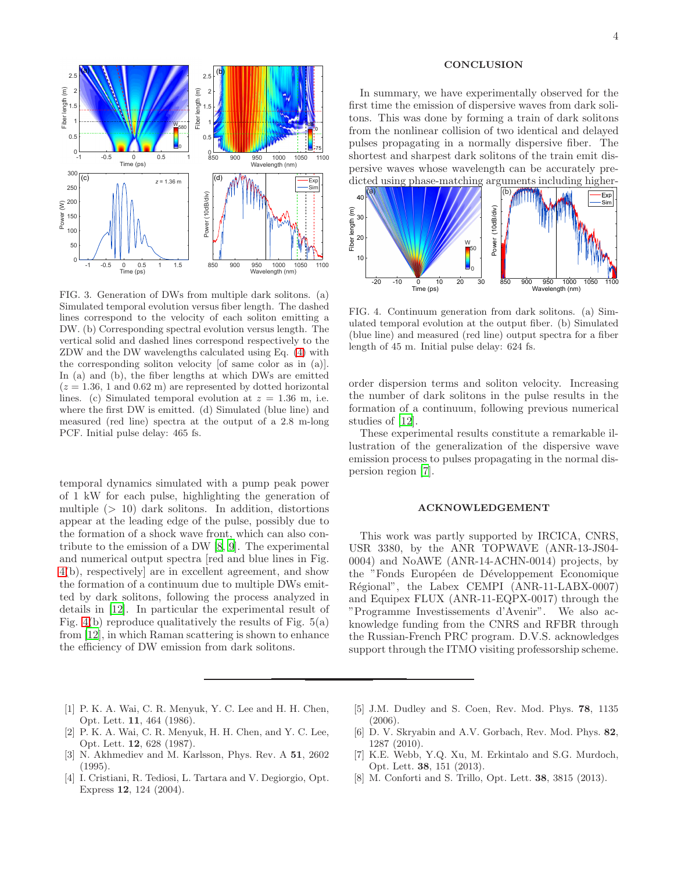

<span id="page-3-7"></span>FIG. 3. Generation of DWs from multiple dark solitons. (a) Simulated temporal evolution versus fiber length. The dashed lines correspond to the velocity of each soliton emitting a DW. (b) Corresponding spectral evolution versus length. The vertical solid and dashed lines correspond respectively to the ZDW and the DW wavelengths calculated using Eq. [\(4\)](#page-2-0) with the corresponding soliton velocity [of same color as in (a)]. In (a) and (b), the fiber lengths at which DWs are emitted  $(z = 1.36, 1 \text{ and } 0.62 \text{ m})$  are represented by dotted horizontal lines. (c) Simulated temporal evolution at  $z = 1.36$  m, i.e. where the first DW is emitted. (d) Simulated (blue line) and measured (red line) spectra at the output of a 2.8 m-long PCF. Initial pulse delay: 465 fs.

temporal dynamics simulated with a pump peak power of 1 kW for each pulse, highlighting the generation of multiple  $(> 10)$  dark solitons. In addition, distortions appear at the leading edge of the pulse, possibly due to the formation of a shock wave front, which can also contribute to the emission of a DW [\[8](#page-3-6), [9\]](#page-4-0). The experimental and numerical output spectra [red and blue lines in Fig. [4\(](#page-3-8)b), respectively] are in excellent agreement, and show the formation of a continuum due to multiple DWs emitted by dark solitons, following the process analyzed in details in [\[12\]](#page-4-3). In particular the experimental result of Fig.  $4(b)$  reproduce qualitatively the results of Fig.  $5(a)$ from [\[12\]](#page-4-3), in which Raman scattering is shown to enhance the efficiency of DW emission from dark solitons.

## **CONCLUSION**

In summary, we have experimentally observed for the first time the emission of dispersive waves from dark solitons. This was done by forming a train of dark solitons from the nonlinear collision of two identical and delayed pulses propagating in a normally dispersive fiber. The shortest and sharpest dark solitons of the train emit dispersive waves whose wavelength can be accurately predicted using phase-matching arguments including higher-



<span id="page-3-8"></span>FIG. 4. Continuum generation from dark solitons. (a) Simulated temporal evolution at the output fiber. (b) Simulated (blue line) and measured (red line) output spectra for a fiber length of 45 m. Initial pulse delay: 624 fs.

order dispersion terms and soliton velocity. Increasing the number of dark solitons in the pulse results in the formation of a continuum, following previous numerical studies of [\[12\]](#page-4-3).

These experimental results constitute a remarkable illustration of the generalization of the dispersive wave emission process to pulses propagating in the normal dispersion region [\[7](#page-3-5)].

## ACKNOWLEDGEMENT

This work was partly supported by IRCICA, CNRS, USR 3380, by the ANR TOPWAVE (ANR-13-JS04- 0004) and NoAWE (ANR-14-ACHN-0014) projects, by the "Fonds Européen de Développement Economique Régional", the Labex CEMPI (ANR-11-LABX-0007) and Equipex FLUX (ANR-11-EQPX-0017) through the "Programme Investissements d'Avenir". We also acknowledge funding from the CNRS and RFBR through the Russian-French PRC program. D.V.S. acknowledges support through the ITMO visiting professorship scheme.

- <span id="page-3-0"></span>[1] P. K. A. Wai, C. R. Menyuk, Y. C. Lee and H. H. Chen, Opt. Lett. 11, 464 (1986).
- <span id="page-3-1"></span>[2] P. K. A. Wai, C. R. Menyuk, H. H. Chen, and Y. C. Lee, Opt. Lett. 12, 628 (1987).
- <span id="page-3-2"></span>[3] N. Akhmediev and M. Karlsson, Phys. Rev. A 51, 2602 (1995).
- <span id="page-3-3"></span>[4] I. Cristiani, R. Tediosi, L. Tartara and V. Degiorgio, Opt. Express 12, 124 (2004).
- [5] J.M. Dudley and S. Coen, Rev. Mod. Phys. 78, 1135 (2006).
- <span id="page-3-4"></span>[6] D. V. Skryabin and A.V. Gorbach, Rev. Mod. Phys. 82, 1287 (2010).
- <span id="page-3-5"></span>[7] K.E. Webb, Y.Q. Xu, M. Erkintalo and S.G. Murdoch, Opt. Lett. 38, 151 (2013).
- <span id="page-3-6"></span>[8] M. Conforti and S. Trillo, Opt. Lett. 38, 3815 (2013).